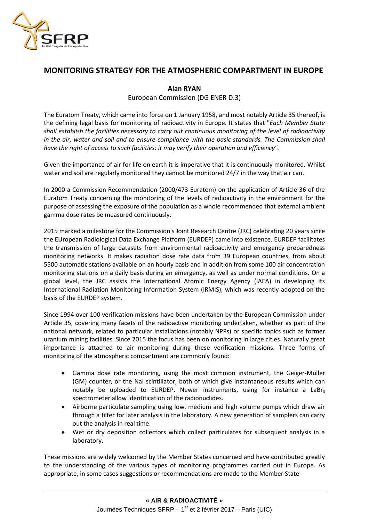

## **MONITORING STRATEGY FOR THE ATMOSPHERIC COMPARTMENT IN EUROPE**

## **Alan RYAN**

European Commission (DG ENER D.3)

The Euratom Treaty, which came into force on 1 January 1958, and most notably Article 35 thereof, is the defining legal basis for monitoring of radioactivity in Europe. It states that "*Each Member State shall establish the facilities necessary to carry out continuous monitoring of the level of radioactivity in the air, water and soil and to ensure compliance with the basic standards. The Commission shall have the right of access to such facilities: it may verify their operation and efficiency".*

Given the importance of air for life on earth it is imperative that it is continuously monitored. Whilst water and soil are regularly monitored they cannot be monitored 24/7 in the way that air can.

In 2000 a Commission Recommendation (2000/473 Euratom) on the application of Article 36 of the Euratom Treaty concerning the monitoring of the levels of radioactivity in the environment for the purpose of assessing the exposure of the population as a whole recommended that external ambient gamma dose rates be measured continuously.

2015 marked a milestone for the Commission's Joint Research Centre (JRC) celebrating 20 years since the EUropean Radiological Data Exchange Platform (EURDEP) came into existence. EURDEP facilitates the transmission of large datasets from environmental radioactivity and emergency preparedness monitoring networks. It makes radiation dose rate data from 39 European countries, from about 5500 automatic stations available on an hourly basis and in addition from some 100 air concentration monitoring stations on a daily basis during an emergency, as well as under normal conditions. On a global level, the JRC assists the International Atomic Energy Agency (IAEA) in developing its International Radiation Monitoring Information System (IRMIS), which was recently adopted on the basis of the EURDEP system.

Since 1994 over 100 verification missions have been undertaken by the European Commission under Article 35, covering many facets of the radioactive monitoring undertaken, whether as part of the national network, related to particular installations (notably NPPs) or specific topics such as former uranium mining facilities. Since 2015 the focus has been on monitoring in large cities. Naturally great importance is attached to air monitoring during these verification missions. Three forms of monitoring of the atmospheric compartment are commonly found:

- Gamma dose rate monitoring, using the most common instrument, the Geiger-Muller (GM) counter, or the NaI scintillator, both of which give instantaneous results which can notably be uploaded to EURDEP. Newer instruments, using for instance a LaBr<sub>3</sub> spectrometer allow identification of the radionuclides.
- Airborne particulate sampling using low, medium and high volume pumps which draw air through a filter for later analysis in the laboratory. A new generation of samplers can carry out the analysis in real time.
- Wet or dry deposition collectors which collect particulates for subsequent analysis in a laboratory.

These missions are widely welcomed by the Member States concerned and have contributed greatly to the understanding of the various types of monitoring programmes carried out in Europe. As appropriate, in some cases suggestions or recommendations are made to the Member State